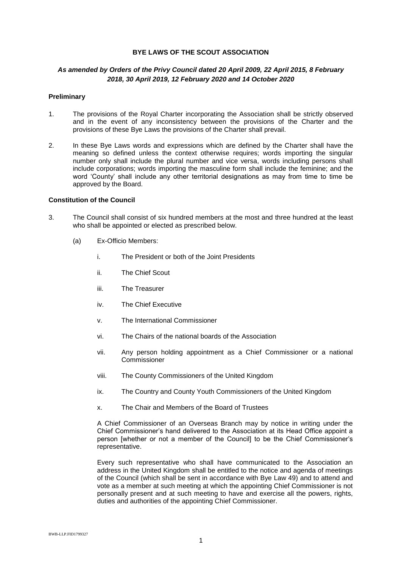## **BYE LAWS OF THE SCOUT ASSOCIATION**

# *As amended by Orders of the Privy Council dated 20 April 2009, 22 April 2015, 8 February 2018, 30 April 2019, 12 February 2020 and 14 October 2020*

### **Preliminary**

- 1. The provisions of the Royal Charter incorporating the Association shall be strictly observed and in the event of any inconsistency between the provisions of the Charter and the provisions of these Bye Laws the provisions of the Charter shall prevail.
- 2. In these Bye Laws words and expressions which are defined by the Charter shall have the meaning so defined unless the context otherwise requires; words importing the singular number only shall include the plural number and vice versa, words including persons shall include corporations; words importing the masculine form shall include the feminine; and the word 'County' shall include any other territorial designations as may from time to time be approved by the Board.

# **Constitution of the Council**

- 3. The Council shall consist of six hundred members at the most and three hundred at the least who shall be appointed or elected as prescribed below.
	- (a) Ex-Officio Members:
		- i. The President or both of the Joint Presidents
		- ii. The Chief Scout
		- iii. The Treasurer
		- iv. The Chief Executive
		- v. The International Commissioner
		- vi. The Chairs of the national boards of the Association
		- vii. Any person holding appointment as a Chief Commissioner or a national Commissioner
		- viii. The County Commissioners of the United Kingdom
		- ix. The Country and County Youth Commissioners of the United Kingdom
		- x. The Chair and Members of the Board of Trustees

A Chief Commissioner of an Overseas Branch may by notice in writing under the Chief Commissioner's hand delivered to the Association at its Head Office appoint a person [whether or not a member of the Council] to be the Chief Commissioner's representative.

Every such representative who shall have communicated to the Association an address in the United Kingdom shall be entitled to the notice and agenda of meetings of the Council (which shall be sent in accordance with Bye Law 49) and to attend and vote as a member at such meeting at which the appointing Chief Commissioner is not personally present and at such meeting to have and exercise all the powers, rights, duties and authorities of the appointing Chief Commissioner.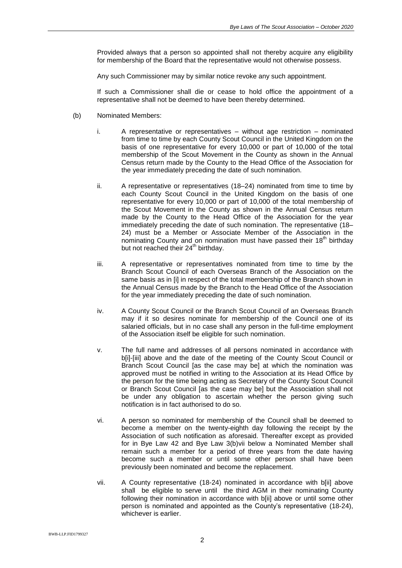Provided always that a person so appointed shall not thereby acquire any eligibility for membership of the Board that the representative would not otherwise possess.

Any such Commissioner may by similar notice revoke any such appointment.

If such a Commissioner shall die or cease to hold office the appointment of a representative shall not be deemed to have been thereby determined.

- (b) Nominated Members:
	- i. A representative or representatives without age restriction nominated from time to time by each County Scout Council in the United Kingdom on the basis of one representative for every 10,000 or part of 10,000 of the total membership of the Scout Movement in the County as shown in the Annual Census return made by the County to the Head Office of the Association for the year immediately preceding the date of such nomination.
	- ii. A representative or representatives (18–24) nominated from time to time by each County Scout Council in the United Kingdom on the basis of one representative for every 10,000 or part of 10,000 of the total membership of the Scout Movement in the County as shown in the Annual Census return made by the County to the Head Office of the Association for the year immediately preceding the date of such nomination. The representative (18– 24) must be a Member or Associate Member of the Association in the nominating County and on nomination must have passed their  $18<sup>th</sup>$  birthday but not reached their 24<sup>th</sup> birthday.
	- iii. A representative or representatives nominated from time to time by the Branch Scout Council of each Overseas Branch of the Association on the same basis as in [i] in respect of the total membership of the Branch shown in the Annual Census made by the Branch to the Head Office of the Association for the year immediately preceding the date of such nomination.
	- iv. A County Scout Council or the Branch Scout Council of an Overseas Branch may if it so desires nominate for membership of the Council one of its salaried officials, but in no case shall any person in the full-time employment of the Association itself be eligible for such nomination.
	- v. The full name and addresses of all persons nominated in accordance with b[i]-[iii] above and the date of the meeting of the County Scout Council or Branch Scout Council [as the case may be] at which the nomination was approved must be notified in writing to the Association at its Head Office by the person for the time being acting as Secretary of the County Scout Council or Branch Scout Council [as the case may be] but the Association shall not be under any obligation to ascertain whether the person giving such notification is in fact authorised to do so.
	- vi. A person so nominated for membership of the Council shall be deemed to become a member on the twenty-eighth day following the receipt by the Association of such notification as aforesaid. Thereafter except as provided for in Bye Law 42 and Bye Law 3(b)vii below a Nominated Member shall remain such a member for a period of three years from the date having become such a member or until some other person shall have been previously been nominated and become the replacement.
	- vii. A County representative (18-24) nominated in accordance with b[ii] above shall be eligible to serve until the third AGM in their nominating County following their nomination in accordance with b[ii] above or until some other person is nominated and appointed as the County's representative (18-24), whichever is earlier.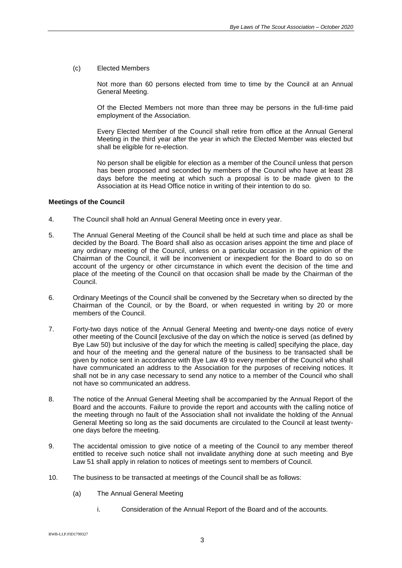#### (c) Elected Members

Not more than 60 persons elected from time to time by the Council at an Annual General Meeting.

Of the Elected Members not more than three may be persons in the full-time paid employment of the Association.

Every Elected Member of the Council shall retire from office at the Annual General Meeting in the third year after the year in which the Elected Member was elected but shall be eligible for re-election.

No person shall be eligible for election as a member of the Council unless that person has been proposed and seconded by members of the Council who have at least 28 days before the meeting at which such a proposal is to be made given to the Association at its Head Office notice in writing of their intention to do so.

#### **Meetings of the Council**

- 4. The Council shall hold an Annual General Meeting once in every year.
- 5. The Annual General Meeting of the Council shall be held at such time and place as shall be decided by the Board. The Board shall also as occasion arises appoint the time and place of any ordinary meeting of the Council, unless on a particular occasion in the opinion of the Chairman of the Council, it will be inconvenient or inexpedient for the Board to do so on account of the urgency or other circumstance in which event the decision of the time and place of the meeting of the Council on that occasion shall be made by the Chairman of the Council.
- 6. Ordinary Meetings of the Council shall be convened by the Secretary when so directed by the Chairman of the Council, or by the Board, or when requested in writing by 20 or more members of the Council.
- 7. Forty-two days notice of the Annual General Meeting and twenty-one days notice of every other meeting of the Council [exclusive of the day on which the notice is served (as defined by Bye Law 50) but inclusive of the day for which the meeting is called] specifying the place, day and hour of the meeting and the general nature of the business to be transacted shall be given by notice sent in accordance with Bye Law 49 to every member of the Council who shall have communicated an address to the Association for the purposes of receiving notices. It shall not be in any case necessary to send any notice to a member of the Council who shall not have so communicated an address.
- 8. The notice of the Annual General Meeting shall be accompanied by the Annual Report of the Board and the accounts. Failure to provide the report and accounts with the calling notice of the meeting through no fault of the Association shall not invalidate the holding of the Annual General Meeting so long as the said documents are circulated to the Council at least twentyone days before the meeting.
- 9. The accidental omission to give notice of a meeting of the Council to any member thereof entitled to receive such notice shall not invalidate anything done at such meeting and Bye Law 51 shall apply in relation to notices of meetings sent to members of Council.
- 10. The business to be transacted at meetings of the Council shall be as follows:
	- (a) The Annual General Meeting
		- i. Consideration of the Annual Report of the Board and of the accounts.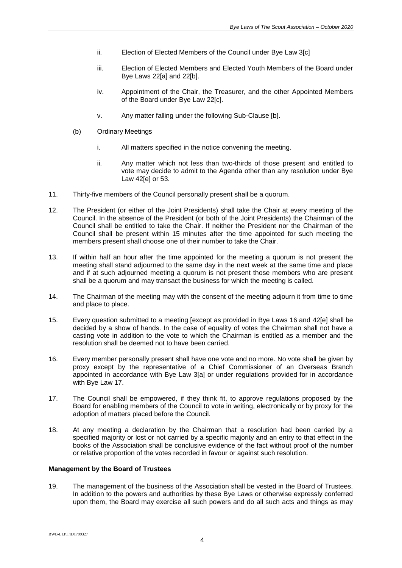- ii. Election of Elected Members of the Council under Bye Law 3[c]
- iii. Election of Elected Members and Elected Youth Members of the Board under Bye Laws 22[a] and 22[b].
- iv. Appointment of the Chair, the Treasurer, and the other Appointed Members of the Board under Bye Law 22[c].
- v. Any matter falling under the following Sub-Clause [b].
- (b) Ordinary Meetings
	- i. All matters specified in the notice convening the meeting.
	- ii. Any matter which not less than two-thirds of those present and entitled to vote may decide to admit to the Agenda other than any resolution under Bye Law 42[e] or 53.
- 11. Thirty-five members of the Council personally present shall be a quorum.
- 12. The President (or either of the Joint Presidents) shall take the Chair at every meeting of the Council. In the absence of the President (or both of the Joint Presidents) the Chairman of the Council shall be entitled to take the Chair. If neither the President nor the Chairman of the Council shall be present within 15 minutes after the time appointed for such meeting the members present shall choose one of their number to take the Chair.
- 13. If within half an hour after the time appointed for the meeting a quorum is not present the meeting shall stand adjourned to the same day in the next week at the same time and place and if at such adjourned meeting a quorum is not present those members who are present shall be a quorum and may transact the business for which the meeting is called.
- 14. The Chairman of the meeting may with the consent of the meeting adjourn it from time to time and place to place.
- 15. Every question submitted to a meeting [except as provided in Bye Laws 16 and 42[e] shall be decided by a show of hands. In the case of equality of votes the Chairman shall not have a casting vote in addition to the vote to which the Chairman is entitled as a member and the resolution shall be deemed not to have been carried.
- 16. Every member personally present shall have one vote and no more. No vote shall be given by proxy except by the representative of a Chief Commissioner of an Overseas Branch appointed in accordance with Bye Law 3[a] or under regulations provided for in accordance with Bye Law 17.
- 17. The Council shall be empowered, if they think fit, to approve regulations proposed by the Board for enabling members of the Council to vote in writing, electronically or by proxy for the adoption of matters placed before the Council.
- 18. At any meeting a declaration by the Chairman that a resolution had been carried by a specified majority or lost or not carried by a specific majority and an entry to that effect in the books of the Association shall be conclusive evidence of the fact without proof of the number or relative proportion of the votes recorded in favour or against such resolution.

# **Management by the Board of Trustees**

19. The management of the business of the Association shall be vested in the Board of Trustees. In addition to the powers and authorities by these Bye Laws or otherwise expressly conferred upon them, the Board may exercise all such powers and do all such acts and things as may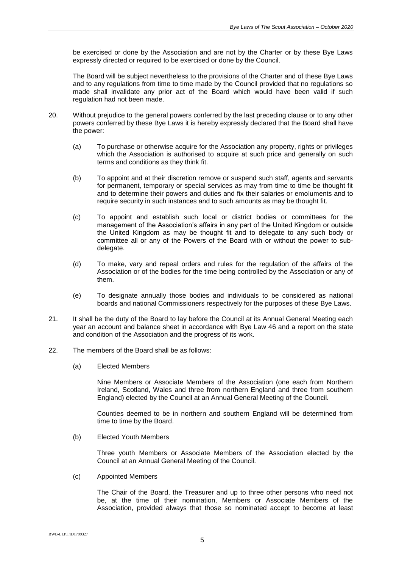be exercised or done by the Association and are not by the Charter or by these Bye Laws expressly directed or required to be exercised or done by the Council.

The Board will be subject nevertheless to the provisions of the Charter and of these Bye Laws and to any regulations from time to time made by the Council provided that no regulations so made shall invalidate any prior act of the Board which would have been valid if such regulation had not been made.

- 20. Without prejudice to the general powers conferred by the last preceding clause or to any other powers conferred by these Bye Laws it is hereby expressly declared that the Board shall have the power:
	- (a) To purchase or otherwise acquire for the Association any property, rights or privileges which the Association is authorised to acquire at such price and generally on such terms and conditions as they think fit.
	- (b) To appoint and at their discretion remove or suspend such staff, agents and servants for permanent, temporary or special services as may from time to time be thought fit and to determine their powers and duties and fix their salaries or emoluments and to require security in such instances and to such amounts as may be thought fit.
	- (c) To appoint and establish such local or district bodies or committees for the management of the Association's affairs in any part of the United Kingdom or outside the United Kingdom as may be thought fit and to delegate to any such body or committee all or any of the Powers of the Board with or without the power to subdelegate.
	- (d) To make, vary and repeal orders and rules for the regulation of the affairs of the Association or of the bodies for the time being controlled by the Association or any of them.
	- (e) To designate annually those bodies and individuals to be considered as national boards and national Commissioners respectively for the purposes of these Bye Laws.
- 21. It shall be the duty of the Board to lay before the Council at its Annual General Meeting each year an account and balance sheet in accordance with Bye Law 46 and a report on the state and condition of the Association and the progress of its work.
- 22. The members of the Board shall be as follows:
	- (a) Elected Members

Nine Members or Associate Members of the Association (one each from Northern Ireland, Scotland, Wales and three from northern England and three from southern England) elected by the Council at an Annual General Meeting of the Council.

Counties deemed to be in northern and southern England will be determined from time to time by the Board.

(b) Elected Youth Members

Three youth Members or Associate Members of the Association elected by the Council at an Annual General Meeting of the Council.

(c) Appointed Members

The Chair of the Board, the Treasurer and up to three other persons who need not be, at the time of their nomination, Members or Associate Members of the Association, provided always that those so nominated accept to become at least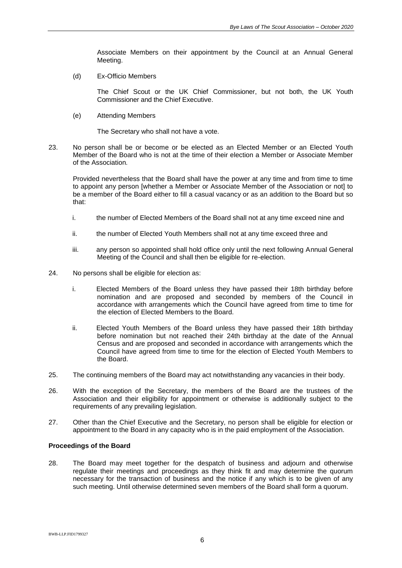Associate Members on their appointment by the Council at an Annual General Meeting.

(d) Ex-Officio Members

The Chief Scout or the UK Chief Commissioner, but not both, the UK Youth Commissioner and the Chief Executive.

(e) Attending Members

The Secretary who shall not have a vote.

23. No person shall be or become or be elected as an Elected Member or an Elected Youth Member of the Board who is not at the time of their election a Member or Associate Member of the Association*.*

Provided nevertheless that the Board shall have the power at any time and from time to time to appoint any person [whether a Member or Associate Member of the Association or not] to be a member of the Board either to fill a casual vacancy or as an addition to the Board but so that:

- i. the number of Elected Members of the Board shall not at any time exceed nine and
- ii. the number of Elected Youth Members shall not at any time exceed three and
- iii. any person so appointed shall hold office only until the next following Annual General Meeting of the Council and shall then be eligible for re-election.
- 24. No persons shall be eligible for election as:
	- i. Elected Members of the Board unless they have passed their 18th birthday before nomination and are proposed and seconded by members of the Council in accordance with arrangements which the Council have agreed from time to time for the election of Elected Members to the Board.
	- ii. Elected Youth Members of the Board unless they have passed their 18th birthday before nomination but not reached their 24th birthday at the date of the Annual Census and are proposed and seconded in accordance with arrangements which the Council have agreed from time to time for the election of Elected Youth Members to the Board.
- 25. The continuing members of the Board may act notwithstanding any vacancies in their body.
- 26. With the exception of the Secretary, the members of the Board are the trustees of the Association and their eligibility for appointment or otherwise is additionally subject to the requirements of any prevailing legislation.
- 27. Other than the Chief Executive and the Secretary, no person shall be eligible for election or appointment to the Board in any capacity who is in the paid employment of the Association.

#### **Proceedings of the Board**

28. The Board may meet together for the despatch of business and adjourn and otherwise regulate their meetings and proceedings as they think fit and may determine the quorum necessary for the transaction of business and the notice if any which is to be given of any such meeting. Until otherwise determined seven members of the Board shall form a quorum.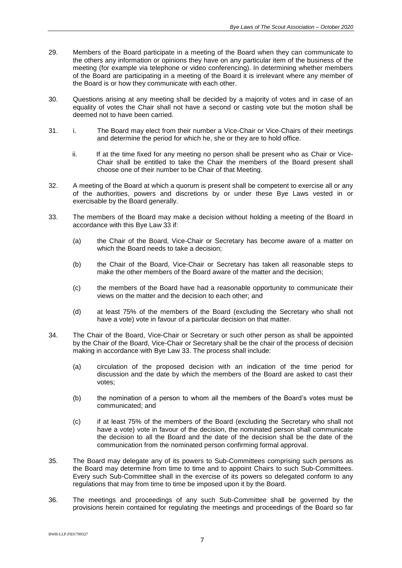- 29. Members of the Board participate in a meeting of the Board when they can communicate to the others any information or opinions they have on any particular item of the business of the meeting (for example via telephone or video conferencing). In determining whether members of the Board are participating in a meeting of the Board it is irrelevant where any member of the Board is or how they communicate with each other.
- 30. Questions arising at any meeting shall be decided by a majority of votes and in case of an equality of votes the Chair shall not have a second or casting vote but the motion shall be deemed not to have been carried.
- 31. i. The Board may elect from their number a Vice-Chair or Vice-Chairs of their meetings and determine the period for which he, she or they are to hold office.
	- ii. If at the time fixed for any meeting no person shall be present who as Chair or Vice-Chair shall be entitled to take the Chair the members of the Board present shall choose one of their number to be Chair of that Meeting.
- 32. A meeting of the Board at which a quorum is present shall be competent to exercise all or any of the authorities, powers and discretions by or under these Bye Laws vested in or exercisable by the Board generally.
- 33. The members of the Board may make a decision without holding a meeting of the Board in accordance with this Bye Law 33 if:
	- (a) the Chair of the Board, Vice-Chair or Secretary has become aware of a matter on which the Board needs to take a decision;
	- (b) the Chair of the Board, Vice-Chair or Secretary has taken all reasonable steps to make the other members of the Board aware of the matter and the decision;
	- (c) the members of the Board have had a reasonable opportunity to communicate their views on the matter and the decision to each other; and
	- (d) at least 75% of the members of the Board (excluding the Secretary who shall not have a vote) vote in favour of a particular decision on that matter.
- 34. The Chair of the Board, Vice-Chair or Secretary or such other person as shall be appointed by the Chair of the Board, Vice-Chair or Secretary shall be the chair of the process of decision making in accordance with Bye Law 33. The process shall include:
	- (a) circulation of the proposed decision with an indication of the time period for discussion and the date by which the members of the Board are asked to cast their votes;
	- (b) the nomination of a person to whom all the members of the Board's votes must be communicated; and
	- (c) if at least 75% of the members of the Board (excluding the Secretary who shall not have a vote) vote in favour of the decision, the nominated person shall communicate the decision to all the Board and the date of the decision shall be the date of the communication from the nominated person confirming formal approval.
- 35. The Board may delegate any of its powers to Sub-Committees comprising such persons as the Board may determine from time to time and to appoint Chairs to such Sub-Committees. Every such Sub-Committee shall in the exercise of its powers so delegated conform to any regulations that may from time to time be imposed upon it by the Board.
- 36. The meetings and proceedings of any such Sub-Committee shall be governed by the provisions herein contained for regulating the meetings and proceedings of the Board so far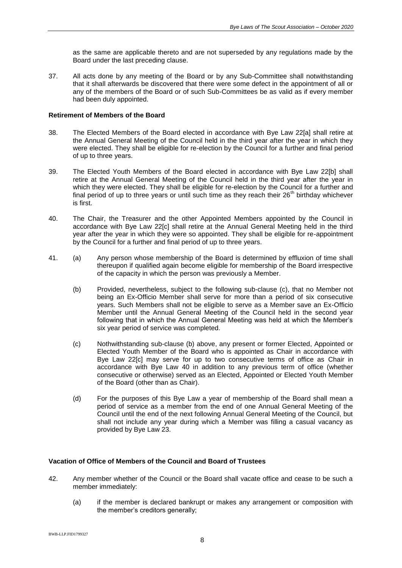as the same are applicable thereto and are not superseded by any regulations made by the Board under the last preceding clause.

37. All acts done by any meeting of the Board or by any Sub-Committee shall notwithstanding that it shall afterwards be discovered that there were some defect in the appointment of all or any of the members of the Board or of such Sub-Committees be as valid as if every member had been duly appointed.

# **Retirement of Members of the Board**

- 38. The Elected Members of the Board elected in accordance with Bye Law 22[a] shall retire at the Annual General Meeting of the Council held in the third year after the year in which they were elected. They shall be eligible for re-election by the Council for a further and final period of up to three years.
- 39. The Elected Youth Members of the Board elected in accordance with Bye Law 22[b] shall retire at the Annual General Meeting of the Council held in the third year after the year in which they were elected. They shall be eligible for re-election by the Council for a further and final period of up to three years or until such time as they reach their  $26<sup>th</sup>$  birthday whichever is first.
- 40. The Chair, the Treasurer and the other Appointed Members appointed by the Council in accordance with Bye Law 22[c] shall retire at the Annual General Meeting held in the third year after the year in which they were so appointed. They shall be eligible for re-appointment by the Council for a further and final period of up to three years.
- 41. (a) Any person whose membership of the Board is determined by effluxion of time shall thereupon if qualified again become eligible for membership of the Board irrespective of the capacity in which the person was previously a Member.
	- (b) Provided, nevertheless, subject to the following sub-clause (c), that no Member not being an Ex-Officio Member shall serve for more than a period of six consecutive years. Such Members shall not be eligible to serve as a Member save an Ex-Officio Member until the Annual General Meeting of the Council held in the second year following that in which the Annual General Meeting was held at which the Member's six year period of service was completed.
	- (c) Nothwithstanding sub-clause (b) above, any present or former Elected, Appointed or Elected Youth Member of the Board who is appointed as Chair in accordance with Bye Law 22[c] may serve for up to two consecutive terms of office as Chair in accordance with Bye Law 40 in addition to any previous term of office (whether consecutive or otherwise) served as an Elected, Appointed or Elected Youth Member of the Board (other than as Chair).
	- (d) For the purposes of this Bye Law a year of membership of the Board shall mean a period of service as a member from the end of one Annual General Meeting of the Council until the end of the next following Annual General Meeting of the Council, but shall not include any year during which a Member was filling a casual vacancy as provided by Bye Law 23.

## **Vacation of Office of Members of the Council and Board of Trustees**

- 42. Any member whether of the Council or the Board shall vacate office and cease to be such a member immediately:
	- (a) if the member is declared bankrupt or makes any arrangement or composition with the member's creditors generally;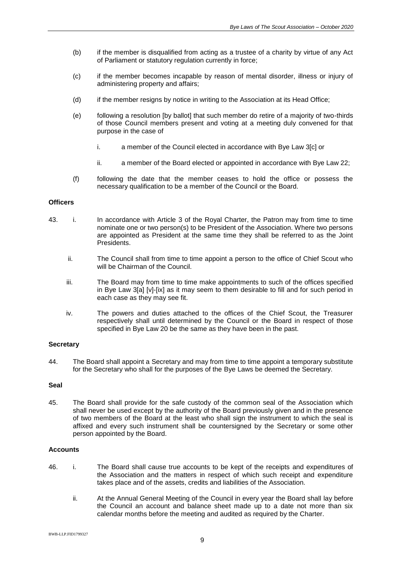- (b) if the member is disqualified from acting as a trustee of a charity by virtue of any Act of Parliament or statutory regulation currently in force;
- (c) if the member becomes incapable by reason of mental disorder, illness or injury of administering property and affairs;
- (d) if the member resigns by notice in writing to the Association at its Head Office;
- (e) following a resolution [by ballot] that such member do retire of a majority of two-thirds of those Council members present and voting at a meeting duly convened for that purpose in the case of
	- i. a member of the Council elected in accordance with Bye Law 3[c] or
	- ii. a member of the Board elected or appointed in accordance with Bye Law 22;
- (f) following the date that the member ceases to hold the office or possess the necessary qualification to be a member of the Council or the Board.

## **Officers**

- 43. i. In accordance with Article 3 of the Royal Charter, the Patron may from time to time nominate one or two person(s) to be President of the Association. Where two persons are appointed as President at the same time they shall be referred to as the Joint Presidents.
	- ii. The Council shall from time to time appoint a person to the office of Chief Scout who will be Chairman of the Council.
	- iii. The Board may from time to time make appointments to such of the offices specified in Bye Law 3[a] [v]-[ix] as it may seem to them desirable to fill and for such period in each case as they may see fit.
	- iv. The powers and duties attached to the offices of the Chief Scout, the Treasurer respectively shall until determined by the Council or the Board in respect of those specified in Bye Law 20 be the same as they have been in the past.

### **Secretary**

44. The Board shall appoint a Secretary and may from time to time appoint a temporary substitute for the Secretary who shall for the purposes of the Bye Laws be deemed the Secretary.

#### **Seal**

45. The Board shall provide for the safe custody of the common seal of the Association which shall never be used except by the authority of the Board previously given and in the presence of two members of the Board at the least who shall sign the instrument to which the seal is affixed and every such instrument shall be countersigned by the Secretary or some other person appointed by the Board.

## **Accounts**

- 46. i. The Board shall cause true accounts to be kept of the receipts and expenditures of the Association and the matters in respect of which such receipt and expenditure takes place and of the assets, credits and liabilities of the Association.
	- ii. At the Annual General Meeting of the Council in every year the Board shall lay before the Council an account and balance sheet made up to a date not more than six calendar months before the meeting and audited as required by the Charter.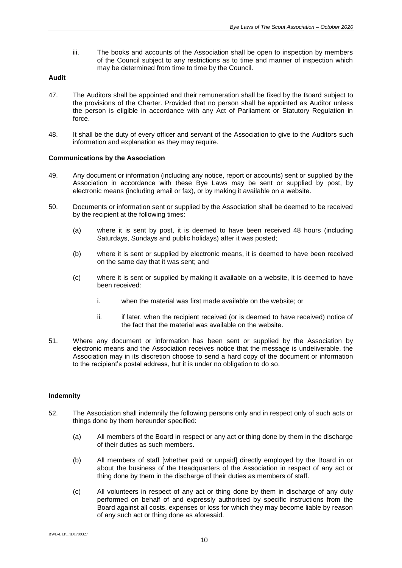iii. The books and accounts of the Association shall be open to inspection by members of the Council subject to any restrictions as to time and manner of inspection which may be determined from time to time by the Council.

### **Audit**

- 47. The Auditors shall be appointed and their remuneration shall be fixed by the Board subject to the provisions of the Charter. Provided that no person shall be appointed as Auditor unless the person is eligible in accordance with any Act of Parliament or Statutory Regulation in force.
- 48. It shall be the duty of every officer and servant of the Association to give to the Auditors such information and explanation as they may require.

### **Communications by the Association**

- 49. Any document or information (including any notice, report or accounts) sent or supplied by the Association in accordance with these Bye Laws may be sent or supplied by post, by electronic means (including email or fax), or by making it available on a website.
- 50. Documents or information sent or supplied by the Association shall be deemed to be received by the recipient at the following times:
	- (a) where it is sent by post, it is deemed to have been received 48 hours (including Saturdays, Sundays and public holidays) after it was posted;
	- (b) where it is sent or supplied by electronic means, it is deemed to have been received on the same day that it was sent; and
	- (c) where it is sent or supplied by making it available on a website, it is deemed to have been received:
		- i. when the material was first made available on the website; or
		- ii. if later, when the recipient received (or is deemed to have received) notice of the fact that the material was available on the website.
- 51. Where any document or information has been sent or supplied by the Association by electronic means and the Association receives notice that the message is undeliverable, the Association may in its discretion choose to send a hard copy of the document or information to the recipient's postal address, but it is under no obligation to do so.

#### **Indemnity**

- 52. The Association shall indemnify the following persons only and in respect only of such acts or things done by them hereunder specified:
	- (a) All members of the Board in respect or any act or thing done by them in the discharge of their duties as such members.
	- (b) All members of staff [whether paid or unpaid] directly employed by the Board in or about the business of the Headquarters of the Association in respect of any act or thing done by them in the discharge of their duties as members of staff.
	- (c) All volunteers in respect of any act or thing done by them in discharge of any duty performed on behalf of and expressly authorised by specific instructions from the Board against all costs, expenses or loss for which they may become liable by reason of any such act or thing done as aforesaid.